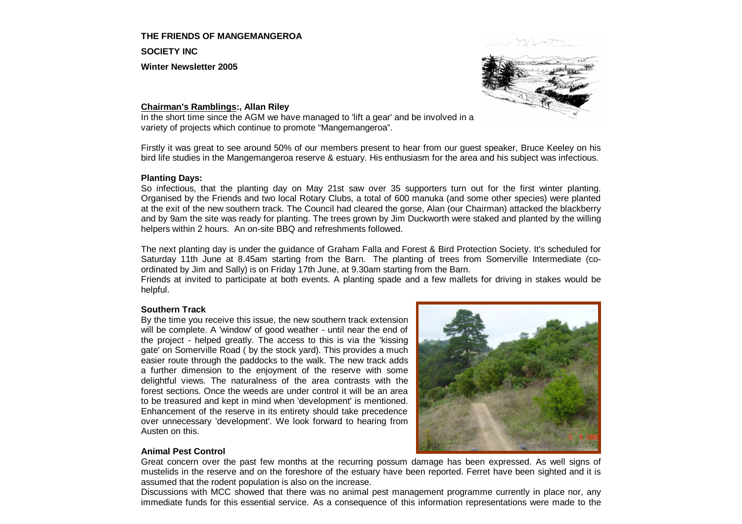# **THE FRIENDS OF MANGEMANGEROA**

**SOCIETY INC**

**Winter Newsletter 2005**



### **Chairman's Ramblings:, Allan Riley**

In the short time since the AGM we have managed to 'lift a gear' and be involved in a variety of projects which continue to promote "Mangemangeroa".

Firstly it was great to see around 50% of our members present to hear from our guest speaker, Bruce Keeley on his bird life studies in the Mangemangeroa reserve & estuary. His enthusiasm for the area and his subject was infectious.

#### **Planting Days:**

So infectious, that the planting day on May 21st saw over 35 supporters turn out for the first winter planting. Organised by the Friends and two local Rotary Clubs, a total of 600 manuka (and some other species) were planted at the exit of the new southern track. The Council had cleared the gorse, Alan (our Chairman) attacked the blackberry and by 9am the site was ready for planting. The trees grown by Jim Duckworth were staked and planted by the willing helpers within 2 hours. An on-site BBQ and refreshments followed.

The next planting day is under the guidance of Graham Falla and Forest & Bird Protection Society. It's scheduled for Saturday 11th June at 8.45am starting from the Barn. The planting of trees from Somerville Intermediate (coordinated by Jim and Sally) is on Friday 17th June, at 9.30am starting from the Barn.

Friends at invited to participate at both events. A planting spade and a few mallets for driving in stakes would be helpful.

### **Southern Track**

By the time you receive this issue, the new southern track extension will be complete. A 'window' of good weather - until near the end of the project - helped greatly. The access to this is via the 'kissing gate' on Somerville Road ( by the stock yard). This provides a much easier route through the paddocks to the walk. The new track adds a further dimension to the enjoyment of the reserve with some delightful views. The naturalness of the area contrasts with the forest sections. Once the weeds are under control it will be an area to be treasured and kept in mind when 'development' is mentioned. Enhancement of the reserve in its entirety should take precedence over unnecessary 'development'. We look forward to hearing from Austen on this.



### **Animal Pest Control**

Great concern over the past few months at the recurring possum damage has been expressed. As well signs of mustelids in the reserve and on the foreshore of the estuary have been reported. Ferret have been sighted and it is assumed that the rodent population is also on the increase.

Discussions with MCC showed that there was no animal pest management programme currently in place nor, any immediate funds for this essential service. As a consequence of this information representations were made to the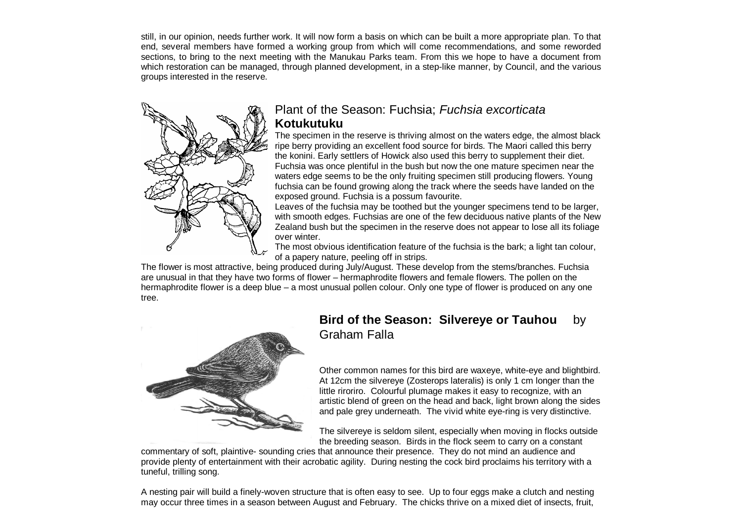still, in our opinion, needs further work. It will now form a basis on which can be built a more appropriate plan. To that end, several members have formed a working group from which will come recommendations, and some reworded sections, to bring to the next meeting with the Manukau Parks team. From this we hope to have a document from which restoration can be managed, through planned development, in a step-like manner, by Council, and the various groups interested in the reserve.



## Plant of the Season: Fuchsia; *Fuchsia excorticata*  **Kotukutuku**

The specimen in the reserve is thriving almost on the waters edge, the almost black ripe berry providing an excellent food source for birds. The Maori called this berry the konini. Early settlers of Howick also used this berry to supplement their diet. Fuchsia was once plentiful in the bush but now the one mature specimen near the waters edge seems to be the only fruiting specimen still producing flowers. Young fuchsia can be found growing along the track where the seeds have landed on the exposed ground. Fuchsia is a possum favourite.

Leaves of the fuchsia may be toothed but the younger specimens tend to be larger, with smooth edges. Fuchsias are one of the few deciduous native plants of the New Zealand bush but the specimen in the reserve does not appear to lose all its foliage over winter.

The most obvious identification feature of the fuchsia is the bark; a light tan colour, of a papery nature, peeling off in strips.

The flower is most attractive, being produced during July/August. These develop from the stems/branches. Fuchsia are unusual in that they have two forms of flower – hermaphrodite flowers and female flowers. The pollen on the hermaphrodite flower is a deep blue – a most unusual pollen colour. Only one type of flower is produced on any one tree.



## **Bird of the Season: Silvereye or Tauhou** by Graham Falla

Other common names for this bird are waxeye, white-eye and blightbird. At 12cm the silvereye (Zosterops lateralis) is only 1 cm longer than the little riroriro. Colourful plumage makes it easy to recognize, with an artistic blend of green on the head and back, light brown along the sides and pale grey underneath. The vivid white eye-ring is very distinctive.

The silvereye is seldom silent, especially when moving in flocks outside the breeding season. Birds in the flock seem to carry on a constant

commentary of soft, plaintive- sounding cries that announce their presence. They do not mind an audience and provide plenty of entertainment with their acrobatic agility. During nesting the cock bird proclaims his territory with a tuneful, trilling song.

A nesting pair will build a finely-woven structure that is often easy to see. Up to four eggs make a clutch and nesting may occur three times in a season between August and February. The chicks thrive on a mixed diet of insects, fruit,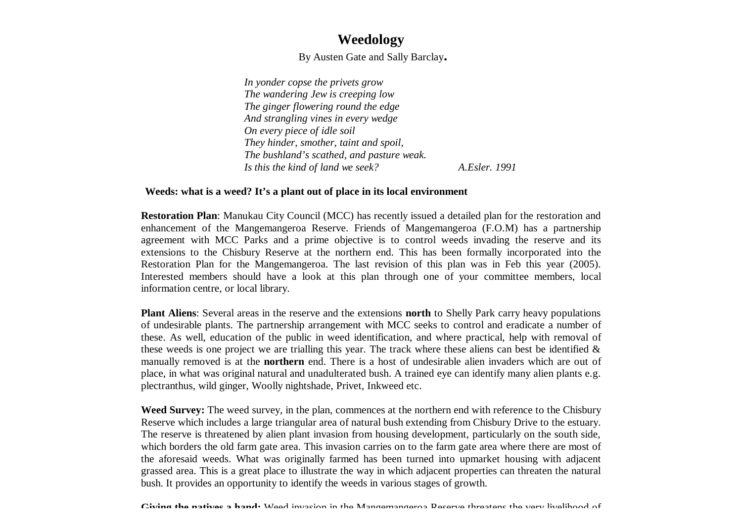# **Weedology**

By Austen Gate and Sally Barclay**.**

*In yonder copse the privets grow The wandering Jew is creeping low The ginger flowering round the edge And strangling vines in every wedge On every piece of idle soil They hinder, smother, taint and spoil, The bushland's scathed, and pasture weak. Is this the kind of land we seek? A.Esler. 1991*

### **Weeds: what is a weed? It's a plant out of place in its local environment**

**Restoration Plan**: Manukau City Council (MCC) has recently issued a detailed plan for the restoration and enhancement of the Mangemangeroa Reserve. Friends of Mangemangeroa (F.O.M) has a partnership agreement with MCC Parks and a prime objective is to control weeds invading the reserve and its extensions to the Chisbury Reserve at the northern end. This has been formally incorporated into the Restoration Plan for the Mangemangeroa. The last revision of this plan was in Feb this year (2005). Interested members should have a look at this plan through one of your committee members, local information centre, or local library.

**Plant Aliens**: Several areas in the reserve and the extensions **north** to Shelly Park carry heavy populations of undesirable plants. The partnership arrangement with MCC seeks to control and eradicate a number of these. As well, education of the public in weed identification, and where practical, help with removal of these weeds is one project we are trialling this year. The track where these aliens can best be identified  $\&$ manually removed is at the **northern** end. There is a host of undesirable alien invaders which are out of place, in what was original natural and unadulterated bush. A trained eye can identify many alien plants e.g. plectranthus, wild ginger, Woolly nightshade, Privet, Inkweed etc.

Weed Survey: The weed survey, in the plan, commences at the northern end with reference to the Chisbury Reserve which includes a large triangular area of natural bush extending from Chisbury Drive to the estuary. The reserve is threatened by alien plant invasion from housing development, particularly on the south side, which borders the old farm gate area. This invasion carries on to the farm gate area where there are most of the aforesaid weeds. What was originally farmed has been turned into upmarket housing with adjacent grassed area. This is a great place to illustrate the way in which adjacent properties can threaten the natural bush. It provides an opportunity to identify the weeds in various stages of growth.